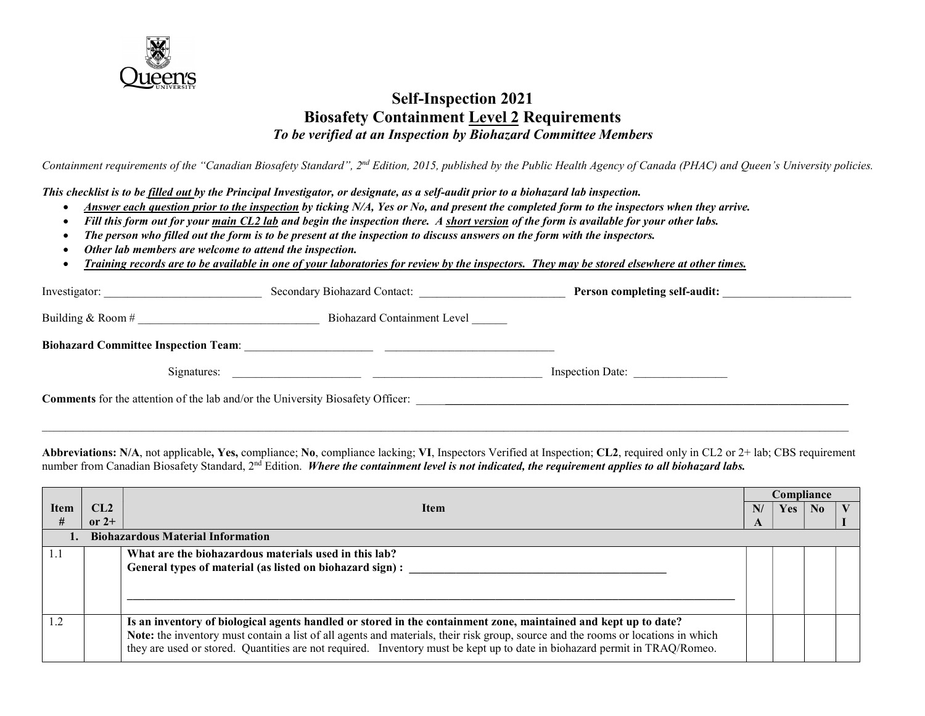

### Self-Inspection 2021 Biosafety Containment Level 2 Requirements To be verified at an Inspection by Biohazard Committee Members

Containment requirements of the "Canadian Biosafety Standard", 2<sup>nd</sup> Edition, 2015, published by the Public Health Agency of Canada (PHAC) and Queen's University policies.

This checklist is to be filled out by the Principal Investigator, or designate, as a self-audit prior to a biohazard lab inspection.

- Answer each question prior to the inspection by ticking N/A, Yes or No, and present the completed form to the inspectors when they arrive.
- Fill this form out for your main CL2 lab and begin the inspection there. A short version of the form is available for your other labs.
- The person who filled out the form is to be present at the inspection to discuss answers on the form with the inspectors.
- Other lab members are welcome to attend the inspection.
- Training records are to be available in one of your laboratories for review by the inspectors. They may be stored elsewhere at other times.

| Investigator:                                                                         | Secondary Biohazard Contact: | Person completing self-audit: |  |
|---------------------------------------------------------------------------------------|------------------------------|-------------------------------|--|
| Building & Room $#$                                                                   | Biohazard Containment Level  |                               |  |
| <b>Biohazard Committee Inspection Team:</b>                                           |                              |                               |  |
| Signatures:                                                                           |                              | <b>Inspection Date:</b>       |  |
| <b>Comments</b> for the attention of the lab and/or the University Biosafety Officer: |                              |                               |  |

Abbreviations: N/A, not applicable, Yes, compliance; No, compliance lacking; VI, Inspectors Verified at Inspection; CL2, required only in CL2 or 2+ lab; CBS requirement number from Canadian Biosafety Standard,  $2<sup>nd</sup>$  Edition. Where the containment level is not indicated, the requirement applies to all biohazard labs.

 $\mathcal{L}_\mathcal{L} = \mathcal{L}_\mathcal{L} = \mathcal{L}_\mathcal{L} = \mathcal{L}_\mathcal{L} = \mathcal{L}_\mathcal{L} = \mathcal{L}_\mathcal{L} = \mathcal{L}_\mathcal{L} = \mathcal{L}_\mathcal{L} = \mathcal{L}_\mathcal{L} = \mathcal{L}_\mathcal{L} = \mathcal{L}_\mathcal{L} = \mathcal{L}_\mathcal{L} = \mathcal{L}_\mathcal{L} = \mathcal{L}_\mathcal{L} = \mathcal{L}_\mathcal{L} = \mathcal{L}_\mathcal{L} = \mathcal{L}_\mathcal{L}$ 

|      |                                          |                                                                                                                                   | Compliance |            |                |  |  |  |
|------|------------------------------------------|-----------------------------------------------------------------------------------------------------------------------------------|------------|------------|----------------|--|--|--|
| Item | CL2 -                                    | <b>Item</b>                                                                                                                       | N/         | <b>Yes</b> | N <sub>0</sub> |  |  |  |
| #    | or $2+$                                  |                                                                                                                                   | A          |            |                |  |  |  |
|      | <b>Biohazardous Material Information</b> |                                                                                                                                   |            |            |                |  |  |  |
| 1.1  |                                          | What are the biohazardous materials used in this lab?                                                                             |            |            |                |  |  |  |
|      |                                          | General types of material (as listed on biohazard sign) :                                                                         |            |            |                |  |  |  |
|      |                                          |                                                                                                                                   |            |            |                |  |  |  |
|      |                                          |                                                                                                                                   |            |            |                |  |  |  |
|      |                                          |                                                                                                                                   |            |            |                |  |  |  |
| 1.2  |                                          | Is an inventory of biological agents handled or stored in the containment zone, maintained and kept up to date?                   |            |            |                |  |  |  |
|      |                                          | Note: the inventory must contain a list of all agents and materials, their risk group, source and the rooms or locations in which |            |            |                |  |  |  |
|      |                                          | they are used or stored. Quantities are not required. Inventory must be kept up to date in biohazard permit in TRAQ/Romeo.        |            |            |                |  |  |  |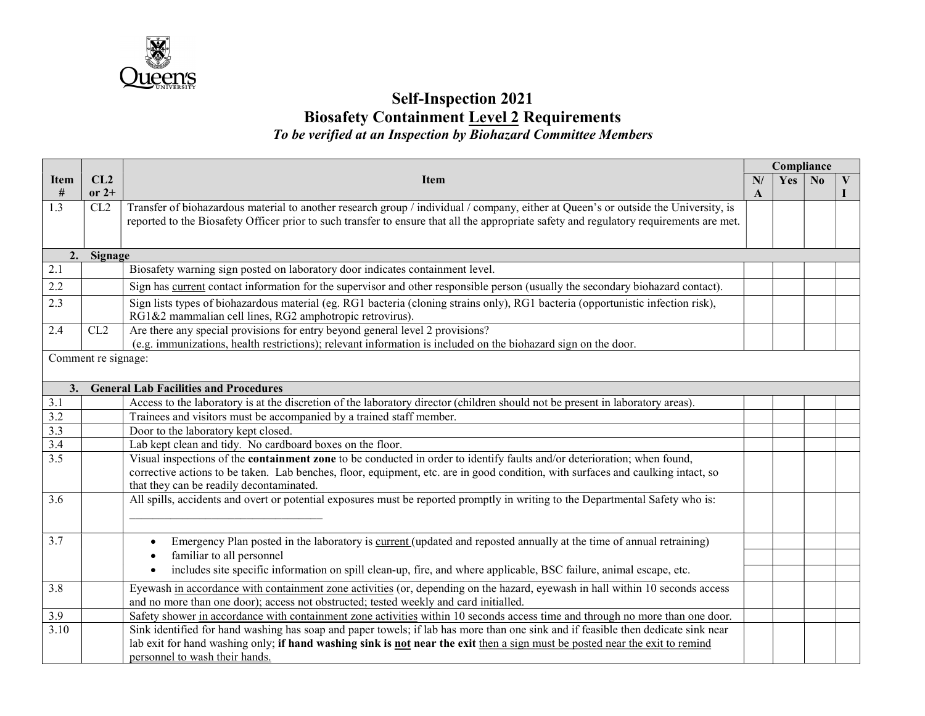

# Self-Inspection 2021 **Biosafety Containment Level 2 Requirements** To be verified at an Inspection by Biohazard Committee Members

|                                                             |                     |                                                                                                                                                                                                                                                                                                                 | Compliance |     |                |               |
|-------------------------------------------------------------|---------------------|-----------------------------------------------------------------------------------------------------------------------------------------------------------------------------------------------------------------------------------------------------------------------------------------------------------------|------------|-----|----------------|---------------|
| Item<br>$\#$                                                | CL2<br>$or 2+$      | <b>Item</b>                                                                                                                                                                                                                                                                                                     |            | Yes | N <sub>0</sub> | $\bf{V}$<br>L |
| $\overline{1.3}$                                            | CL2                 | Transfer of biohazardous material to another research group / individual / company, either at Queen's or outside the University, is<br>reported to the Biosafety Officer prior to such transfer to ensure that all the appropriate safety and regulatory requirements are met.                                  |            |     |                |               |
| 2.                                                          | Signage             |                                                                                                                                                                                                                                                                                                                 |            |     |                |               |
| 2.1                                                         |                     | Biosafety warning sign posted on laboratory door indicates containment level.                                                                                                                                                                                                                                   |            |     |                |               |
| 2.2                                                         |                     | Sign has <u>current</u> contact information for the supervisor and other responsible person (usually the secondary biohazard contact).                                                                                                                                                                          |            |     |                |               |
| 2.3                                                         |                     | Sign lists types of biohazardous material (eg. RG1 bacteria (cloning strains only), RG1 bacteria (opportunistic infection risk),<br>RG1&2 mammalian cell lines, RG2 amphotropic retrovirus).                                                                                                                    |            |     |                |               |
| 2.4                                                         | CL2                 | Are there any special provisions for entry beyond general level 2 provisions?<br>(e.g. immunizations, health restrictions); relevant information is included on the biohazard sign on the door.                                                                                                                 |            |     |                |               |
|                                                             | Comment re signage: |                                                                                                                                                                                                                                                                                                                 |            |     |                |               |
| 3.                                                          |                     | <b>General Lab Facilities and Procedures</b>                                                                                                                                                                                                                                                                    |            |     |                |               |
| $\frac{3.1}{3.2}$<br>$\frac{3.2}{3.3}$<br>$\frac{3.4}{3.5}$ |                     | Access to the laboratory is at the discretion of the laboratory director (children should not be present in laboratory areas).                                                                                                                                                                                  |            |     |                |               |
|                                                             |                     | Trainees and visitors must be accompanied by a trained staff member.                                                                                                                                                                                                                                            |            |     |                |               |
|                                                             |                     | Door to the laboratory kept closed.                                                                                                                                                                                                                                                                             |            |     |                |               |
|                                                             |                     | Lab kept clean and tidy. No cardboard boxes on the floor.                                                                                                                                                                                                                                                       |            |     |                |               |
|                                                             |                     | Visual inspections of the <b>containment zone</b> to be conducted in order to identify faults and/or deterioration; when found,<br>corrective actions to be taken. Lab benches, floor, equipment, etc. are in good condition, with surfaces and caulking intact, so<br>that they can be readily decontaminated. |            |     |                |               |
| $\overline{3.6}$                                            |                     | All spills, accidents and overt or potential exposures must be reported promptly in writing to the Departmental Safety who is:                                                                                                                                                                                  |            |     |                |               |
| 3.7                                                         |                     | Emergency Plan posted in the laboratory is <u>current</u> (updated and reposted annually at the time of annual retraining)                                                                                                                                                                                      |            |     |                |               |
|                                                             |                     | familiar to all personnel                                                                                                                                                                                                                                                                                       |            |     |                |               |
|                                                             |                     | includes site specific information on spill clean-up, fire, and where applicable, BSC failure, animal escape, etc.                                                                                                                                                                                              |            |     |                |               |
| 3.8                                                         |                     | Eyewash in accordance with containment zone activities (or, depending on the hazard, eyewash in hall within 10 seconds access<br>and no more than one door); access not obstructed; tested weekly and card initialled.                                                                                          |            |     |                |               |
| 3.9                                                         |                     | Safety shower in accordance with containment zone activities within 10 seconds access time and through no more than one door.                                                                                                                                                                                   |            |     |                |               |
| 3.10                                                        |                     | Sink identified for hand washing has soap and paper towels; if lab has more than one sink and if feasible then dedicate sink near                                                                                                                                                                               |            |     |                |               |
|                                                             |                     | lab exit for hand washing only; if hand washing sink is not near the exit then a sign must be posted near the exit to remind                                                                                                                                                                                    |            |     |                |               |
|                                                             |                     | personnel to wash their hands.                                                                                                                                                                                                                                                                                  |            |     |                |               |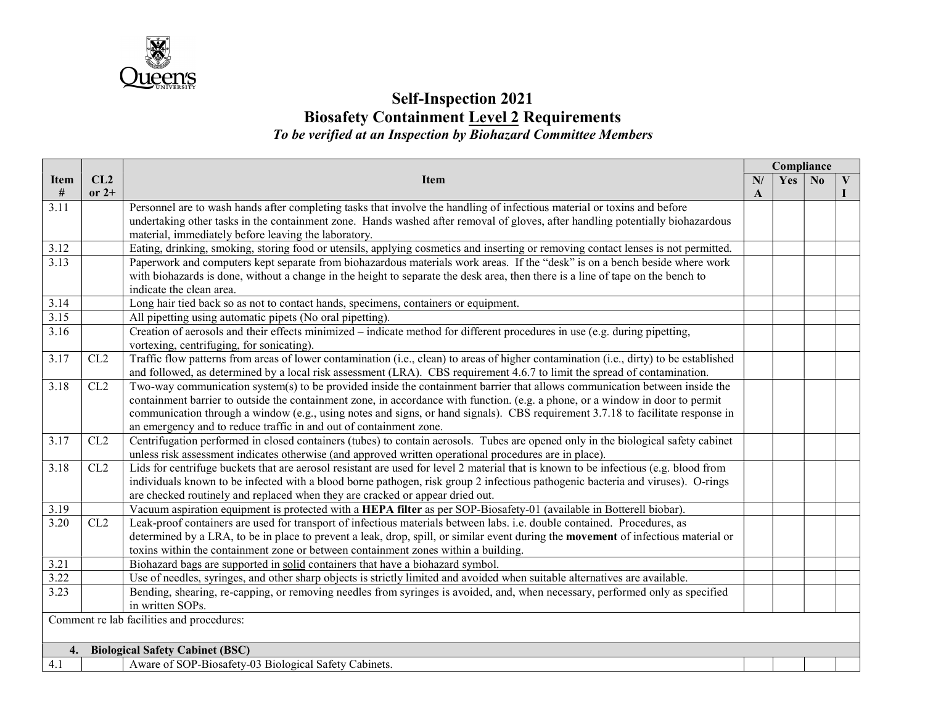

## Self-Inspection 2021 **Biosafety Containment Level 2 Requirements** To be verified at an Inspection by Biohazard Committee Members

|                                              |         |                                                                                                                                           | Compliance |     |                |   |
|----------------------------------------------|---------|-------------------------------------------------------------------------------------------------------------------------------------------|------------|-----|----------------|---|
| <b>Item</b>                                  | CL2     | <b>Item</b>                                                                                                                               |            | Yes | N <sub>0</sub> | V |
| #                                            | $or 2+$ |                                                                                                                                           | A          |     |                |   |
| 3.11                                         |         | Personnel are to wash hands after completing tasks that involve the handling of infectious material or toxins and before                  |            |     |                |   |
|                                              |         | undertaking other tasks in the containment zone. Hands washed after removal of gloves, after handling potentially biohazardous            |            |     |                |   |
|                                              |         | material, immediately before leaving the laboratory.                                                                                      |            |     |                |   |
| 3.12                                         |         | Eating, drinking, smoking, storing food or utensils, applying cosmetics and inserting or removing contact lenses is not permitted.        |            |     |                |   |
| 3.13                                         |         | Paperwork and computers kept separate from biohazardous materials work areas. If the "desk" is on a bench beside where work               |            |     |                |   |
|                                              |         | with biohazards is done, without a change in the height to separate the desk area, then there is a line of tape on the bench to           |            |     |                |   |
|                                              |         | indicate the clean area.                                                                                                                  |            |     |                |   |
| 3.14                                         |         | Long hair tied back so as not to contact hands, specimens, containers or equipment.                                                       |            |     |                |   |
| 3.15                                         |         | All pipetting using automatic pipets (No oral pipetting).                                                                                 |            |     |                |   |
| 3.16                                         |         | Creation of aerosols and their effects minimized – indicate method for different procedures in use (e.g. during pipetting,                |            |     |                |   |
|                                              |         | vortexing, centrifuging, for sonicating).                                                                                                 |            |     |                |   |
| 3.17                                         | CL2     | Traffic flow patterns from areas of lower contamination (i.e., clean) to areas of higher contamination (i.e., dirty) to be established    |            |     |                |   |
|                                              |         | and followed, as determined by a local risk assessment (LRA). CBS requirement 4.6.7 to limit the spread of contamination.                 |            |     |                |   |
| 3.18                                         | CL2     | Two-way communication system(s) to be provided inside the containment barrier that allows communication between inside the                |            |     |                |   |
|                                              |         | containment barrier to outside the containment zone, in accordance with function. (e.g. a phone, or a window in door to permit            |            |     |                |   |
|                                              |         | communication through a window (e.g., using notes and signs, or hand signals). CBS requirement 3.7.18 to facilitate response in           |            |     |                |   |
|                                              |         | an emergency and to reduce traffic in and out of containment zone.                                                                        |            |     |                |   |
| 3.17                                         | CL2     | Centrifugation performed in closed containers (tubes) to contain aerosols. Tubes are opened only in the biological safety cabinet         |            |     |                |   |
|                                              |         | unless risk assessment indicates otherwise (and approved written operational procedures are in place).                                    |            |     |                |   |
| 3.18                                         | CL2     | Lids for centrifuge buckets that are aerosol resistant are used for level 2 material that is known to be infectious (e.g. blood from      |            |     |                |   |
|                                              |         | individuals known to be infected with a blood borne pathogen, risk group 2 infectious pathogenic bacteria and viruses). O-rings           |            |     |                |   |
|                                              |         | are checked routinely and replaced when they are cracked or appear dried out.                                                             |            |     |                |   |
| 3.19                                         |         | Vacuum aspiration equipment is protected with a HEPA filter as per SOP-Biosafety-01 (available in Botterell biobar).                      |            |     |                |   |
| 3.20                                         | CL2     | Leak-proof containers are used for transport of infectious materials between labs. i.e. double contained. Procedures, as                  |            |     |                |   |
|                                              |         | determined by a LRA, to be in place to prevent a leak, drop, spill, or similar event during the <b>movement</b> of infectious material or |            |     |                |   |
|                                              |         | toxins within the containment zone or between containment zones within a building.                                                        |            |     |                |   |
| 3.21                                         |         | Biohazard bags are supported in solid containers that have a biohazard symbol.                                                            |            |     |                |   |
| 3.22                                         |         | Use of needles, syringes, and other sharp objects is strictly limited and avoided when suitable alternatives are available.               |            |     |                |   |
| 3.23                                         |         | Bending, shearing, re-capping, or removing needles from syringes is avoided, and, when necessary, performed only as specified             |            |     |                |   |
|                                              |         | in written SOPs.                                                                                                                          |            |     |                |   |
|                                              |         | Comment re lab facilities and procedures:                                                                                                 |            |     |                |   |
|                                              |         |                                                                                                                                           |            |     |                |   |
| <b>Biological Safety Cabinet (BSC)</b><br>4. |         |                                                                                                                                           |            |     |                |   |
| 4.1                                          |         | Aware of SOP-Biosafety-03 Biological Safety Cabinets.                                                                                     |            |     |                |   |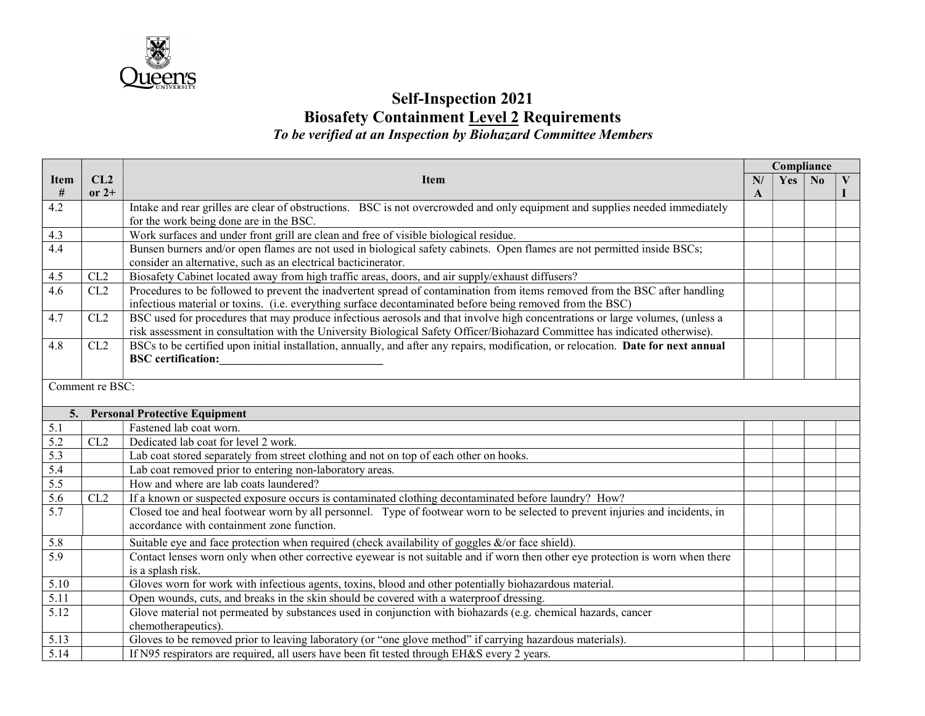

## Self-Inspection 2021 **Biosafety Containment Level 2 Requirements** To be verified at an Inspection by Biohazard Committee Members

|                  |                 |                                                                                                                                    | Compliance |     |                |  |
|------------------|-----------------|------------------------------------------------------------------------------------------------------------------------------------|------------|-----|----------------|--|
| <b>Item</b>      | CL2             | <b>Item</b>                                                                                                                        |            | Yes | N <sub>0</sub> |  |
| #                | or $2+$         |                                                                                                                                    | A          |     |                |  |
| 4.2              |                 | Intake and rear grilles are clear of obstructions. BSC is not overcrowded and only equipment and supplies needed immediately       |            |     |                |  |
|                  |                 | for the work being done are in the BSC.                                                                                            |            |     |                |  |
| 4.3              |                 | Work surfaces and under front grill are clean and free of visible biological residue.                                              |            |     |                |  |
| 4.4              |                 | Bunsen burners and/or open flames are not used in biological safety cabinets. Open flames are not permitted inside BSCs;           |            |     |                |  |
|                  |                 | consider an alternative, such as an electrical bacticinerator.                                                                     |            |     |                |  |
| 4.5              | CL2             | Biosafety Cabinet located away from high traffic areas, doors, and air supply/exhaust diffusers?                                   |            |     |                |  |
| 4.6              | CL2             | Procedures to be followed to prevent the inadvertent spread of contamination from items removed from the BSC after handling        |            |     |                |  |
|                  |                 | infectious material or toxins. (i.e. everything surface decontaminated before being removed from the BSC)                          |            |     |                |  |
| 4.7              | CL2             | BSC used for procedures that may produce infectious aerosols and that involve high concentrations or large volumes, (unless a      |            |     |                |  |
|                  |                 | risk assessment in consultation with the University Biological Safety Officer/Biohazard Committee has indicated otherwise).        |            |     |                |  |
| 4.8              | CL2             | BSCs to be certified upon initial installation, annually, and after any repairs, modification, or relocation. Date for next annual |            |     |                |  |
|                  |                 | <b>BSC</b> certification:                                                                                                          |            |     |                |  |
|                  | Comment re BSC: |                                                                                                                                    |            |     |                |  |
|                  |                 |                                                                                                                                    |            |     |                |  |
| 5.               |                 | <b>Personal Protective Equipment</b>                                                                                               |            |     |                |  |
| 5.1              |                 | Fastened lab coat worn.                                                                                                            |            |     |                |  |
| 5.2              | CL2             | Dedicated lab coat for level 2 work.                                                                                               |            |     |                |  |
| 5.3              |                 | Lab coat stored separately from street clothing and not on top of each other on hooks.                                             |            |     |                |  |
| 5.4              |                 | Lab coat removed prior to entering non-laboratory areas.                                                                           |            |     |                |  |
| 5.5              |                 | How and where are lab coats laundered?                                                                                             |            |     |                |  |
| 5.6              | CL2             | If a known or suspected exposure occurs is contaminated clothing decontaminated before laundry? How?                               |            |     |                |  |
| $\overline{5.7}$ |                 | Closed toe and heal footwear worn by all personnel. Type of footwear worn to be selected to prevent injuries and incidents, in     |            |     |                |  |
|                  |                 | accordance with containment zone function.                                                                                         |            |     |                |  |
| 5.8              |                 | Suitable eye and face protection when required (check availability of goggles $\&$ /or face shield).                               |            |     |                |  |
| 5.9              |                 | Contact lenses worn only when other corrective eyewear is not suitable and if worn then other eye protection is worn when there    |            |     |                |  |
|                  |                 | is a splash risk.                                                                                                                  |            |     |                |  |
| 5.10             |                 | Gloves worn for work with infectious agents, toxins, blood and other potentially biohazardous material.                            |            |     |                |  |
| 5.11             |                 | Open wounds, cuts, and breaks in the skin should be covered with a waterproof dressing.                                            |            |     |                |  |
| 5.12             |                 | Glove material not permeated by substances used in conjunction with biohazards (e.g. chemical hazards, cancer                      |            |     |                |  |
|                  |                 | chemotherapeutics).                                                                                                                |            |     |                |  |
| 5.13             |                 | Gloves to be removed prior to leaving laboratory (or "one glove method" if carrying hazardous materials).                          |            |     |                |  |
| 5.14             |                 | If N95 respirators are required, all users have been fit tested through EH&S every 2 years.                                        |            |     |                |  |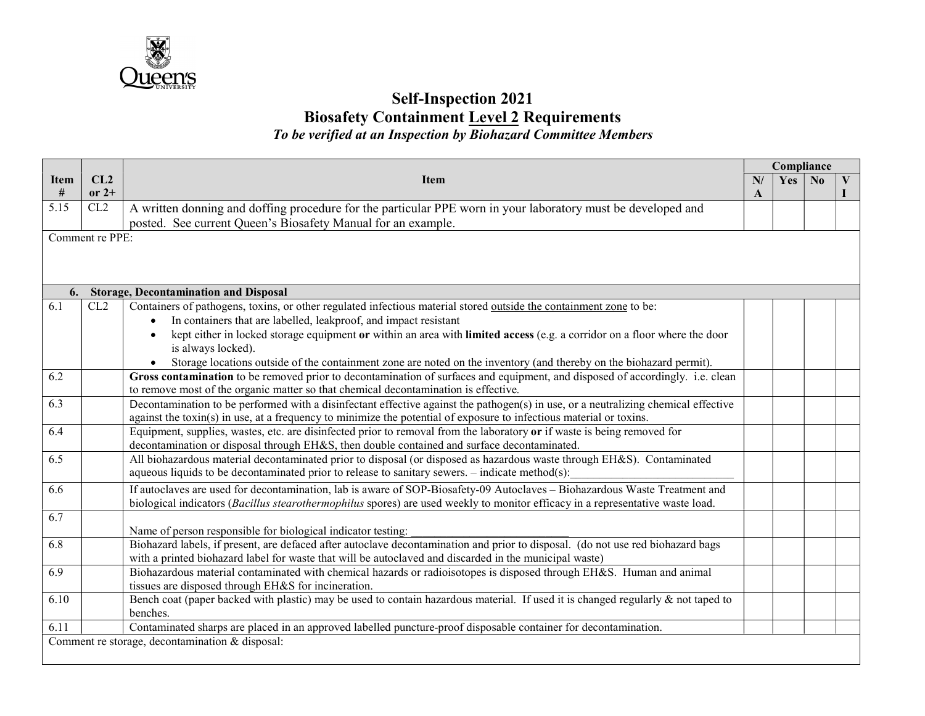

### Self-Inspection 2021 Biosafety Containment Level 2 Requirements To be verified at an Inspection by Biohazard Committee Members

Item # CL2 or  $2+$ Item Compliance N/ A  $Yes \mid No \mid V$ I 5.15 CL2  $\overline{A}$  written donning and doffing procedure for the particular PPE worn in your laboratory must be developed and posted. See current Queen's Biosafety Manual for an example. Comment re PPE: 6. Storage, Decontamination and Disposal 6.1 CL2 Containers of pathogens, toxins, or other regulated infectious material stored outside the containment zone to be: In containers that are labelled, leakproof, and impact resistant kept either in locked storage equipment or within an area with limited access (e.g. a corridor on a floor where the door is always locked). Storage locations outside of the containment zone are noted on the inventory (and thereby on the biohazard permit). 6.2 Gross contamination to be removed prior to decontamination of surfaces and equipment, and disposed of accordingly. i.e. clean to remove most of the organic matter so that chemical decontamination is effective. 6.3 Decontamination to be performed with a disinfectant effective against the pathogen(s) in use, or a neutralizing chemical effective against the toxin(s) in use, at a frequency to minimize the potential of exposure to infectious material or toxins. 6.4 Equipment, supplies, wastes, etc. are disinfected prior to removal from the laboratory or if waste is being removed for decontamination or disposal through EH&S, then double contained and surface decontaminated. 6.5 All biohazardous material decontaminated prior to disposal (or disposed as hazardous waste through EH&S). Contaminated aqueous liquids to be decontaminated prior to release to sanitary sewers.  $-$  indicate method(s): 6.6 If autoclaves are used for decontamination, lab is aware of SOP-Biosafety-09 Autoclaves – Biohazardous Waste Treatment and biological indicators (Bacillus stearothermophilus spores) are used weekly to monitor efficacy in a representative waste load. 6.7 Name of person responsible for biological indicator testing: 6.8 Biohazard labels, if present, are defaced after autoclave decontamination and prior to disposal. (do not use red biohazard bags with a printed biohazard label for waste that will be autoclaved and discarded in the municipal waste) 6.9 Biohazardous material contaminated with chemical hazards or radioisotopes is disposed through EH&S. Human and animal tissues are disposed through EH&S for incineration. 6.10 Bench coat (paper backed with plastic) may be used to contain hazardous material. If used it is changed regularly & not taped to benches. 6.11 Contaminated sharps are placed in an approved labelled puncture-proof disposable container for decontamination. Comment re storage, decontamination & disposal: